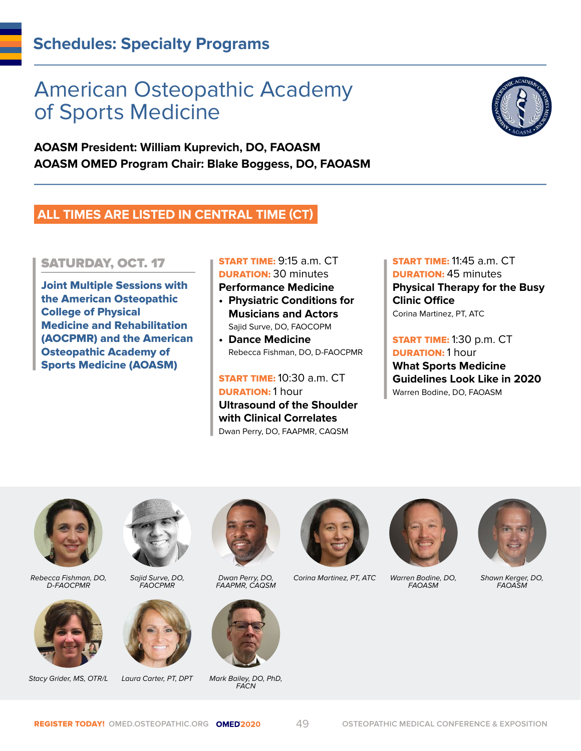# American Osteopathic Academy of Sports Medicine

**AOASM President: William Kuprevich, DO, FAOASM AOASM OMED Program Chair: Blake Boggess, DO, FAOASM**

# **ALL TIMES ARE LISTED IN CENTRAL TIME (CT)**

# SATURDAY, OCT. 17

Joint Multiple Sessions with the American Osteopathic College of Physical Medicine and Rehabilitation (AOCPMR) and the American Osteopathic Academy of Sports Medicine (AOASM)

#### START TIME: 9:15 a.m. CT DURATION: 30 minutes **Performance Medicine**

- **Physiatric Conditions for Musicians and Actors** Sajid Surve, DO, FAOCOPM
- **• Dance Medicine** Rebecca Fishman, DO, D-FAOCPMR

START TIME: 10:30 a.m. CT DURATION: 1 hour **Ultrasound of the Shoulder with Clinical Correlates** Dwan Perry, DO, FAAPMR, CAQSM

START TIME: 11:45 a.m. CT **DURATION: 45 minutes Physical Therapy for the Busy Clinic Office** Corina Martinez, PT, ATC

**START TIME: 1:30 p.m. CT DURATION: 1 hour What Sports Medicine Guidelines Look Like in 2020** Warren Bodine, DO, FAOASM



Rebecca Fishman, DO, D-FAOCPMR



Stacy Grider, MS, OTR/L Laura Carter, PT, DPT Mark Bailey, DO, PhD,



Sajid Surve, DO, FAOCPMR





Dwan Perry, DO, FAAPMR, CAQSM



FACN



Corina Martinez, PT, ATC Warren Bodine, DO,



FAOASM



Shawn Kerger, DO, FAOASM